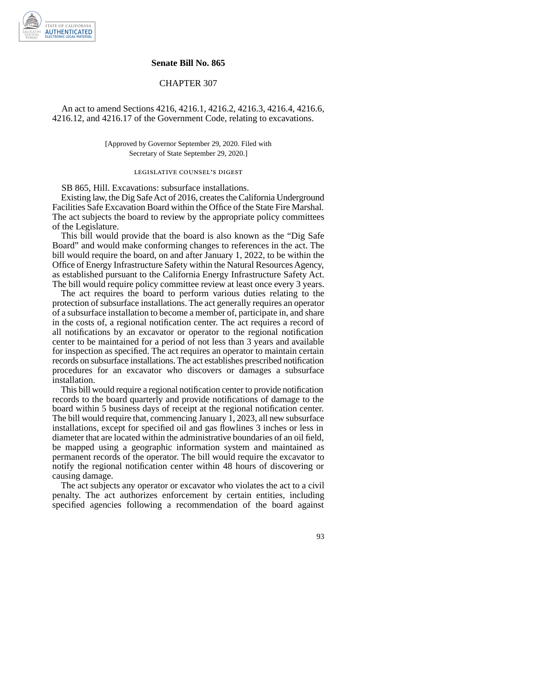

### **Senate Bill No. 865**

## CHAPTER 307

#### An act to amend Sections 4216, 4216.1, 4216.2, 4216.3, 4216.4, 4216.6, 4216.12, and 4216.17 of the Government Code, relating to excavations.

[Approved by Governor September 29, 2020. Filed with Secretary of State September 29, 2020.]

# legislative counsel' s digest

SB 865, Hill. Excavations: subsurface installations.

Existing law, the Dig Safe Act of 2016, creates the California Underground Facilities Safe Excavation Board within the Office of the State Fire Marshal. The act subjects the board to review by the appropriate policy committees of the Legislature.

This bill would provide that the board is also known as the "Dig Safe Board" and would make conforming changes to references in the act. The bill would require the board, on and after January 1, 2022, to be within the Office of Energy Infrastructure Safety within the Natural Resources Agency, as established pursuant to the California Energy Infrastructure Safety Act. The bill would require policy committee review at least once every 3 years.

The act requires the board to perform various duties relating to the protection of subsurface installations. The act generally requires an operator of a subsurface installation to become a member of, participate in, and share in the costs of, a regional notification center. The act requires a record of all notifications by an excavator or operator to the regional notification center to be maintained for a period of not less than 3 years and available for inspection as specified. The act requires an operator to maintain certain records on subsurface installations. The act establishes prescribed notification procedures for an excavator who discovers or damages a subsurface installation.

This bill would require a regional notification center to provide notification records to the board quarterly and provide notifications of damage to the board within 5 business days of receipt at the regional notification center. The bill would require that, commencing January 1, 2023, all new subsurface installations, except for specified oil and gas flowlines 3 inches or less in diameter that are located within the administrative boundaries of an oil field, be mapped using a geographic information system and maintained as permanent records of the operator. The bill would require the excavator to notify the regional notification center within 48 hours of discovering or causing damage.

The act subjects any operator or excavator who violates the act to a civil penalty. The act authorizes enforcement by certain entities, including specified agencies following a recommendation of the board against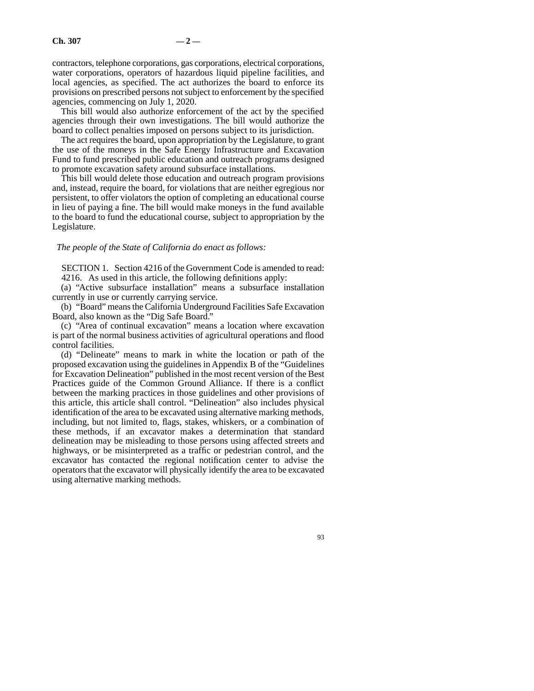contractors, telephone corporations, gas corporations, electrical corporations, water corporations, operators of hazardous liquid pipeline facilities, and local agencies, as specified. The act authorizes the board to enforce its provisions on prescribed persons not subject to enforcement by the specified agencies, commencing on July 1, 2020.

This bill would also authorize enforcement of the act by the specified agencies through their own investigations. The bill would authorize the board to collect penalties imposed on persons subject to its jurisdiction.

The act requires the board, upon appropriation by the Legislature, to grant the use of the moneys in the Safe Energy Infrastructure and Excavation Fund to fund prescribed public education and outreach programs designed to promote excavation safety around subsurface installations.

This bill would delete those education and outreach program provisions and, instead, require the board, for violations that are neither egregious nor persistent, to offer violators the option of completing an educational course in lieu of paying a fine. The bill would make moneys in the fund available to the board to fund the educational course, subject to appropriation by the Legislature.

#### *The people of the State of California do enact as follows:*

SECTION 1. Section 4216 of the Government Code is amended to read: 4216. As used in this article, the following definitions apply:

(a) "Active subsurface installation" means a subsurface installation currently in use or currently carrying service.

(b) "Board" means the California Underground Facilities Safe Excavation Board, also known as the "Dig Safe Board."

(c) "Area of continual excavation" means a location where excavation is part of the normal business activities of agricultural operations and flood control facilities.

(d) "Delineate" means to mark in white the location or path of the proposed excavation using the guidelines in Appendix B of the "Guidelines for Excavation Delineation" published in the most recent version of the Best Practices guide of the Common Ground Alliance. If there is a conflict between the marking practices in those guidelines and other provisions of this article, this article shall control. "Delineation" also includes physical identification of the area to be excavated using alternative marking methods, including, but not limited to, flags, stakes, whiskers, or a combination of these methods, if an excavator makes a determination that standard delineation may be misleading to those persons using affected streets and highways, or be misinterpreted as a traffic or pedestrian control, and the excavator has contacted the regional notification center to advise the operators that the excavator will physically identify the area to be excavated using alternative marking methods.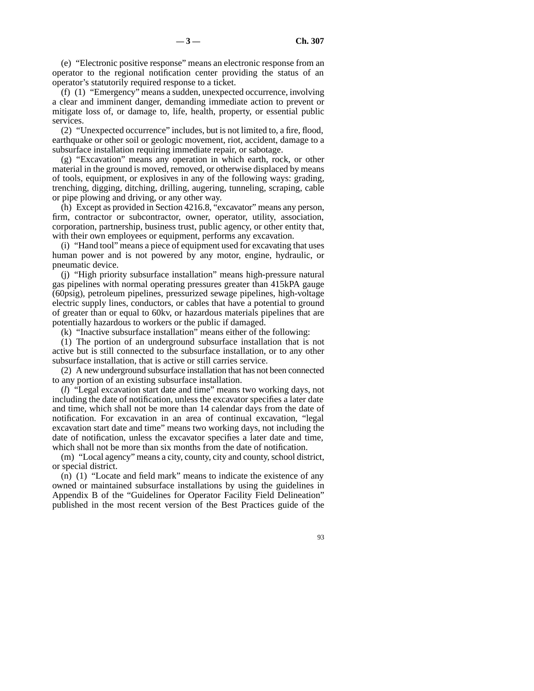(e) "Electronic positive response" means an electronic response from an operator to the regional notification center providing the status of an operator's statutorily required response to a ticket.

(f) (1) "Emergency" means a sudden, unexpected occurrence, involving a clear and imminent danger, demanding immediate action to prevent or mitigate loss of, or damage to, life, health, property, or essential public services.

(2) "Unexpected occurrence" includes, but is not limited to, a fire, flood, earthquake or other soil or geologic movement, riot, accident, damage to a subsurface installation requiring immediate repair, or sabotage.

(g) "Excavation" means any operation in which earth, rock, or other material in the ground is moved, removed, or otherwise displaced by means of tools, equipment, or explosives in any of the following ways: grading, trenching, digging, ditching, drilling, augering, tunneling, scraping, cable or pipe plowing and driving, or any other way.

(h) Except as provided in Section 4216.8, "excavator" means any person, firm, contractor or subcontractor, owner, operator, utility, association, corporation, partnership, business trust, public agency, or other entity that, with their own employees or equipment, performs any excavation.

(i) "Hand tool" means a piece of equipment used for excavating that uses human power and is not powered by any motor, engine, hydraulic, or pneumatic device.

(j) "High priority subsurface installation" means high-pressure natural gas pipelines with normal operating pressures greater than 415kPA gauge (60psig), petroleum pipelines, pressurized sewage pipelines, high-voltage electric supply lines, conductors, or cables that have a potential to ground of greater than or equal to 60kv, or hazardous materials pipelines that are potentially hazardous to workers or the public if damaged.

(k) "Inactive subsurface installation" means either of the following:

(1) The portion of an underground subsurface installation that is not active but is still connected to the subsurface installation, or to any other subsurface installation, that is active or still carries service.

(2) A new underground subsurface installation that has not been connected to any portion of an existing subsurface installation.

(*l*) "Legal excavation start date and time" means two working days, not including the date of notification, unless the excavator specifies a later date and time, which shall not be more than 14 calendar days from the date of notification. For excavation in an area of continual excavation, "legal excavation start date and time" means two working days, not including the date of notification, unless the excavator specifies a later date and time, which shall not be more than six months from the date of notification.

(m) "Local agency" means a city, county, city and county, school district, or special district.

(n) (1) "Locate and field mark" means to indicate the existence of any owned or maintained subsurface installations by using the guidelines in Appendix B of the "Guidelines for Operator Facility Field Delineation" published in the most recent version of the Best Practices guide of the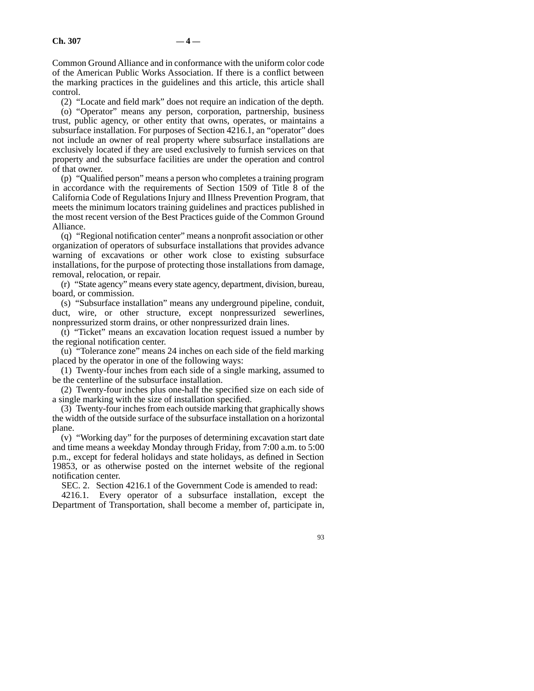Common Ground Alliance and in conformance with the uniform color code of the American Public Works Association. If there is a conflict between the marking practices in the guidelines and this article, this article shall control.

(2) "Locate and field mark" does not require an indication of the depth.

(o) "Operator" means any person, corporation, partnership, business trust, public agency, or other entity that owns, operates, or maintains a subsurface installation. For purposes of Section 4216.1, an "operator" does not include an owner of real property where subsurface installations are exclusively located if they are used exclusively to furnish services on that property and the subsurface facilities are under the operation and control of that owner.

(p) "Qualified person" means a person who completes a training program in accordance with the requirements of Section 1509 of Title 8 of the California Code of Regulations Injury and Illness Prevention Program, that meets the minimum locators training guidelines and practices published in the most recent version of the Best Practices guide of the Common Ground Alliance.

(q) "Regional notification center" means a nonprofit association or other organization of operators of subsurface installations that provides advance warning of excavations or other work close to existing subsurface installations, for the purpose of protecting those installations from damage, removal, relocation, or repair.

(r) "State agency" means every state agency, department, division, bureau, board, or commission.

(s) "Subsurface installation" means any underground pipeline, conduit, duct, wire, or other structure, except nonpressurized sewerlines, nonpressurized storm drains, or other nonpressurized drain lines.

(t) "Ticket" means an excavation location request issued a number by the regional notification center.

(u) "Tolerance zone" means 24 inches on each side of the field marking placed by the operator in one of the following ways:

(1) Twenty-four inches from each side of a single marking, assumed to be the centerline of the subsurface installation.

(2) Twenty-four inches plus one-half the specified size on each side of a single marking with the size of installation specified.

(3) Twenty-four inches from each outside marking that graphically shows the width of the outside surface of the subsurface installation on a horizontal plane.

(v) "Working day" for the purposes of determining excavation start date and time means a weekday Monday through Friday, from 7:00 a.m. to 5:00 p.m., except for federal holidays and state holidays, as defined in Section 19853, or as otherwise posted on the internet website of the regional notification center.

SEC. 2. Section 4216.1 of the Government Code is amended to read:

4216.1. Every operator of a subsurface installation, except the Department of Transportation, shall become a member of, participate in,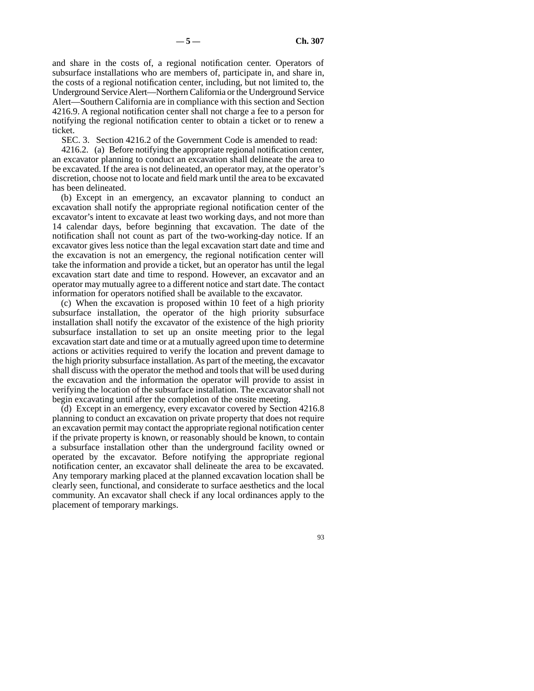and share in the costs of, a regional notification center. Operators of subsurface installations who are members of, participate in, and share in, the costs of a regional notification center, including, but not limited to, the Underground Service Alert—Northern California or the Underground Service Alert—Southern California are in compliance with this section and Section 4216.9. A regional notification center shall not charge a fee to a person for notifying the regional notification center to obtain a ticket or to renew a ticket.

SEC. 3. Section 4216.2 of the Government Code is amended to read:

4216.2. (a) Before notifying the appropriate regional notification center, an excavator planning to conduct an excavation shall delineate the area to be excavated. If the area is not delineated, an operator may, at the operator's discretion, choose not to locate and field mark until the area to be excavated has been delineated.

(b) Except in an emergency, an excavator planning to conduct an excavation shall notify the appropriate regional notification center of the excavator's intent to excavate at least two working days, and not more than 14 calendar days, before beginning that excavation. The date of the notification shall not count as part of the two-working-day notice. If an excavator gives less notice than the legal excavation start date and time and the excavation is not an emergency, the regional notification center will take the information and provide a ticket, but an operator has until the legal excavation start date and time to respond. However, an excavator and an operator may mutually agree to a different notice and start date. The contact information for operators notified shall be available to the excavator.

(c) When the excavation is proposed within 10 feet of a high priority subsurface installation, the operator of the high priority subsurface installation shall notify the excavator of the existence of the high priority subsurface installation to set up an onsite meeting prior to the legal excavation start date and time or at a mutually agreed upon time to determine actions or activities required to verify the location and prevent damage to the high priority subsurface installation. As part of the meeting, the excavator shall discuss with the operator the method and tools that will be used during the excavation and the information the operator will provide to assist in verifying the location of the subsurface installation. The excavator shall not begin excavating until after the completion of the onsite meeting.

(d) Except in an emergency, every excavator covered by Section 4216.8 planning to conduct an excavation on private property that does not require an excavation permit may contact the appropriate regional notification center if the private property is known, or reasonably should be known, to contain a subsurface installation other than the underground facility owned or operated by the excavator. Before notifying the appropriate regional notification center, an excavator shall delineate the area to be excavated. Any temporary marking placed at the planned excavation location shall be clearly seen, functional, and considerate to surface aesthetics and the local community. An excavator shall check if any local ordinances apply to the placement of temporary markings.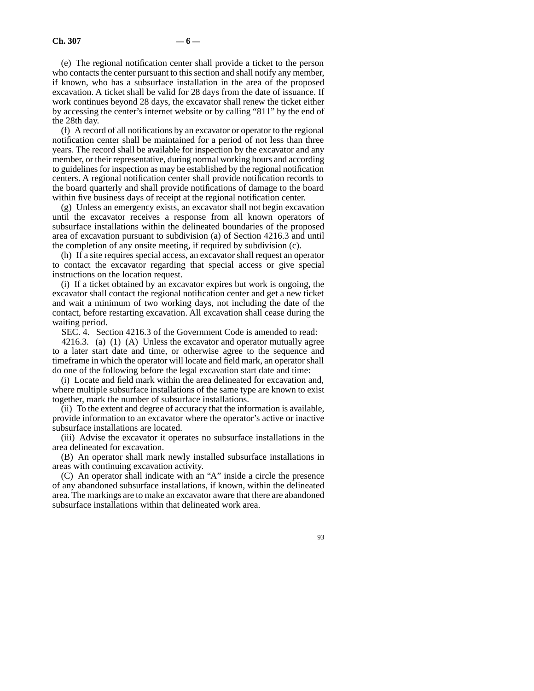(e) The regional notification center shall provide a ticket to the person who contacts the center pursuant to this section and shall notify any member, if known, who has a subsurface installation in the area of the proposed excavation. A ticket shall be valid for 28 days from the date of issuance. If work continues beyond 28 days, the excavator shall renew the ticket either by accessing the center's internet website or by calling "811" by the end of the 28th day.

(f) A record of all notifications by an excavator or operator to the regional notification center shall be maintained for a period of not less than three years. The record shall be available for inspection by the excavator and any member, or their representative, during normal working hours and according to guidelines for inspection as may be established by the regional notification centers. A regional notification center shall provide notification records to the board quarterly and shall provide notifications of damage to the board within five business days of receipt at the regional notification center.

(g) Unless an emergency exists, an excavator shall not begin excavation until the excavator receives a response from all known operators of subsurface installations within the delineated boundaries of the proposed area of excavation pursuant to subdivision (a) of Section 4216.3 and until the completion of any onsite meeting, if required by subdivision (c).

(h) If a site requires special access, an excavator shall request an operator to contact the excavator regarding that special access or give special instructions on the location request.

(i) If a ticket obtained by an excavator expires but work is ongoing, the excavator shall contact the regional notification center and get a new ticket and wait a minimum of two working days, not including the date of the contact, before restarting excavation. All excavation shall cease during the waiting period.

SEC. 4. Section 4216.3 of the Government Code is amended to read:

4216.3. (a) (1) (A) Unless the excavator and operator mutually agree to a later start date and time, or otherwise agree to the sequence and timeframe in which the operator will locate and field mark, an operator shall do one of the following before the legal excavation start date and time:

(i) Locate and field mark within the area delineated for excavation and, where multiple subsurface installations of the same type are known to exist together, mark the number of subsurface installations.

(ii) To the extent and degree of accuracy that the information is available, provide information to an excavator where the operator's active or inactive subsurface installations are located.

(iii) Advise the excavator it operates no subsurface installations in the area delineated for excavation.

(B) An operator shall mark newly installed subsurface installations in areas with continuing excavation activity.

(C) An operator shall indicate with an "A" inside a circle the presence of any abandoned subsurface installations, if known, within the delineated area. The markings are to make an excavator aware that there are abandoned subsurface installations within that delineated work area.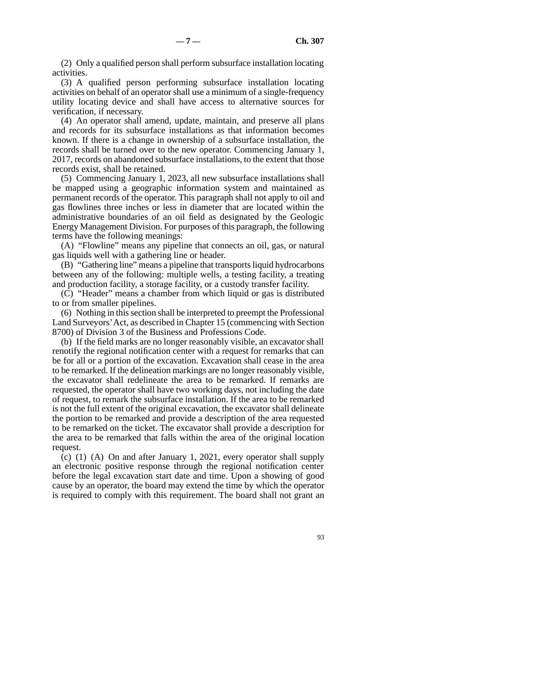(2) Only a qualified person shall perform subsurface installation locating activities.

(3) A qualified person performing subsurface installation locating activities on behalf of an operator shall use a minimum of a single-frequency utility locating device and shall have access to alternative sources for verification, if necessary.

(4) An operator shall amend, update, maintain, and preserve all plans and records for its subsurface installations as that information becomes known. If there is a change in ownership of a subsurface installation, the records shall be turned over to the new operator. Commencing January 1, 2017, records on abandoned subsurface installations, to the extent that those records exist, shall be retained.

(5) Commencing January 1, 2023, all new subsurface installations shall be mapped using a geographic information system and maintained as permanent records of the operator. This paragraph shall not apply to oil and gas flowlines three inches or less in diameter that are located within the administrative boundaries of an oil field as designated by the Geologic Energy Management Division. For purposes of this paragraph, the following terms have the following meanings:

(A) "Flowline" means any pipeline that connects an oil, gas, or natural gas liquids well with a gathering line or header.

(B) "Gathering line" means a pipeline that transports liquid hydrocarbons between any of the following: multiple wells, a testing facility, a treating and production facility, a storage facility, or a custody transfer facility.

(C) "Header" means a chamber from which liquid or gas is distributed to or from smaller pipelines.

(6) Nothing in this section shall be interpreted to preempt the Professional Land Surveyors'Act, as described in Chapter 15 (commencing with Section 8700) of Division 3 of the Business and Professions Code.

(b) If the field marks are no longer reasonably visible, an excavator shall renotify the regional notification center with a request for remarks that can be for all or a portion of the excavation. Excavation shall cease in the area to be remarked. If the delineation markings are no longer reasonably visible, the excavator shall redelineate the area to be remarked. If remarks are requested, the operator shall have two working days, not including the date of request, to remark the subsurface installation. If the area to be remarked is not the full extent of the original excavation, the excavator shall delineate the portion to be remarked and provide a description of the area requested to be remarked on the ticket. The excavator shall provide a description for the area to be remarked that falls within the area of the original location request.

(c) (1) (A) On and after January 1, 2021, every operator shall supply an electronic positive response through the regional notification center before the legal excavation start date and time. Upon a showing of good cause by an operator, the board may extend the time by which the operator is required to comply with this requirement. The board shall not grant an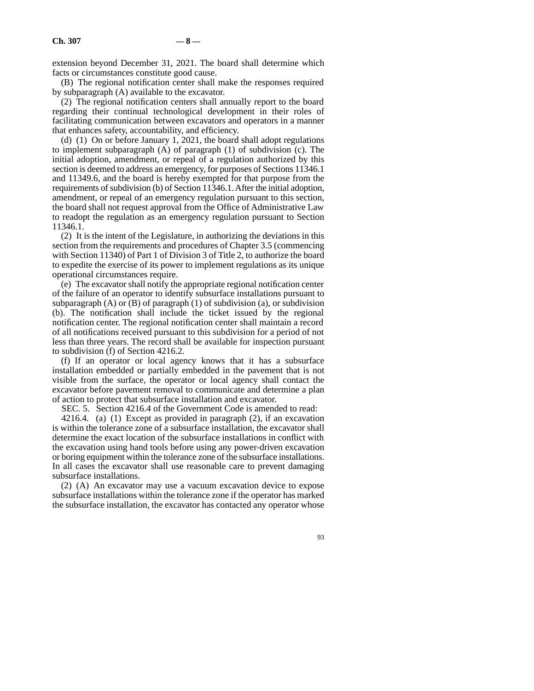extension beyond December 31, 2021. The board shall determine which facts or circumstances constitute good cause.

(B) The regional notification center shall make the responses required by subparagraph (A) available to the excavator.

(2) The regional notification centers shall annually report to the board regarding their continual technological development in their roles of facilitating communication between excavators and operators in a manner that enhances safety, accountability, and efficiency.

(d) (1) On or before January 1, 2021, the board shall adopt regulations to implement subparagraph (A) of paragraph (1) of subdivision (c). The initial adoption, amendment, or repeal of a regulation authorized by this section is deemed to address an emergency, for purposes of Sections 11346.1 and 11349.6, and the board is hereby exempted for that purpose from the requirements of subdivision (b) of Section 11346.1. After the initial adoption, amendment, or repeal of an emergency regulation pursuant to this section, the board shall not request approval from the Office of Administrative Law to readopt the regulation as an emergency regulation pursuant to Section 11346.1.

(2) It is the intent of the Legislature, in authorizing the deviations in this section from the requirements and procedures of Chapter 3.5 (commencing with Section 11340) of Part 1 of Division 3 of Title 2, to authorize the board to expedite the exercise of its power to implement regulations as its unique operational circumstances require.

(e) The excavator shall notify the appropriate regional notification center of the failure of an operator to identify subsurface installations pursuant to subparagraph  $(A)$  or  $(B)$  of paragraph  $(1)$  of subdivision  $(a)$ , or subdivision (b). The notification shall include the ticket issued by the regional notification center. The regional notification center shall maintain a record of all notifications received pursuant to this subdivision for a period of not less than three years. The record shall be available for inspection pursuant to subdivision (f) of Section 4216.2.

(f) If an operator or local agency knows that it has a subsurface installation embedded or partially embedded in the pavement that is not visible from the surface, the operator or local agency shall contact the excavator before pavement removal to communicate and determine a plan of action to protect that subsurface installation and excavator.

SEC. 5. Section 4216.4 of the Government Code is amended to read:

4216.4. (a) (1) Except as provided in paragraph (2), if an excavation is within the tolerance zone of a subsurface installation, the excavator shall determine the exact location of the subsurface installations in conflict with the excavation using hand tools before using any power-driven excavation or boring equipment within the tolerance zone of the subsurface installations. In all cases the excavator shall use reasonable care to prevent damaging subsurface installations.

(2) (A) An excavator may use a vacuum excavation device to expose subsurface installations within the tolerance zone if the operator has marked the subsurface installation, the excavator has contacted any operator whose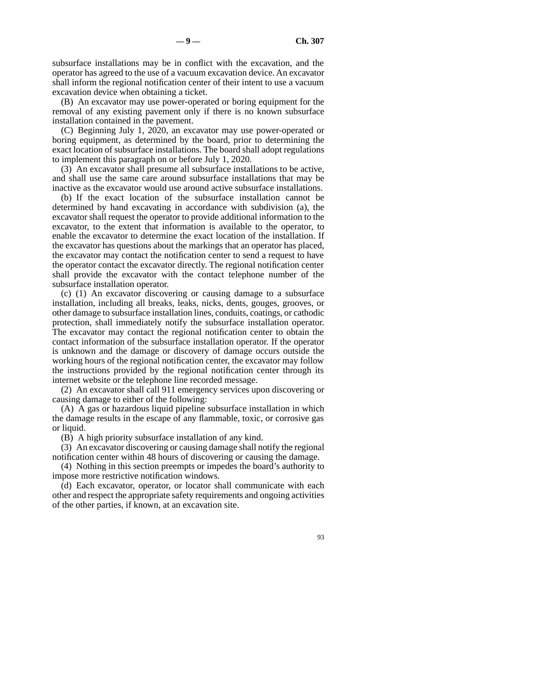subsurface installations may be in conflict with the excavation, and the operator has agreed to the use of a vacuum excavation device. An excavator shall inform the regional notification center of their intent to use a vacuum excavation device when obtaining a ticket.

(B) An excavator may use power-operated or boring equipment for the removal of any existing pavement only if there is no known subsurface installation contained in the pavement.

(C) Beginning July 1, 2020, an excavator may use power-operated or boring equipment, as determined by the board, prior to determining the exact location of subsurface installations. The board shall adopt regulations to implement this paragraph on or before July 1, 2020.

(3) An excavator shall presume all subsurface installations to be active, and shall use the same care around subsurface installations that may be inactive as the excavator would use around active subsurface installations.

(b) If the exact location of the subsurface installation cannot be determined by hand excavating in accordance with subdivision (a), the excavator shall request the operator to provide additional information to the excavator, to the extent that information is available to the operator, to enable the excavator to determine the exact location of the installation. If the excavator has questions about the markings that an operator has placed, the excavator may contact the notification center to send a request to have the operator contact the excavator directly. The regional notification center shall provide the excavator with the contact telephone number of the subsurface installation operator.

(c) (1) An excavator discovering or causing damage to a subsurface installation, including all breaks, leaks, nicks, dents, gouges, grooves, or other damage to subsurface installation lines, conduits, coatings, or cathodic protection, shall immediately notify the subsurface installation operator. The excavator may contact the regional notification center to obtain the contact information of the subsurface installation operator. If the operator is unknown and the damage or discovery of damage occurs outside the working hours of the regional notification center, the excavator may follow the instructions provided by the regional notification center through its internet website or the telephone line recorded message.

(2) An excavator shall call 911 emergency services upon discovering or causing damage to either of the following:

(A) A gas or hazardous liquid pipeline subsurface installation in which the damage results in the escape of any flammable, toxic, or corrosive gas or liquid.

(B) A high priority subsurface installation of any kind.

(3) An excavator discovering or causing damage shall notify the regional notification center within 48 hours of discovering or causing the damage.

(4) Nothing in this section preempts or impedes the board's authority to impose more restrictive notification windows.

(d) Each excavator, operator, or locator shall communicate with each other and respect the appropriate safety requirements and ongoing activities of the other parties, if known, at an excavation site.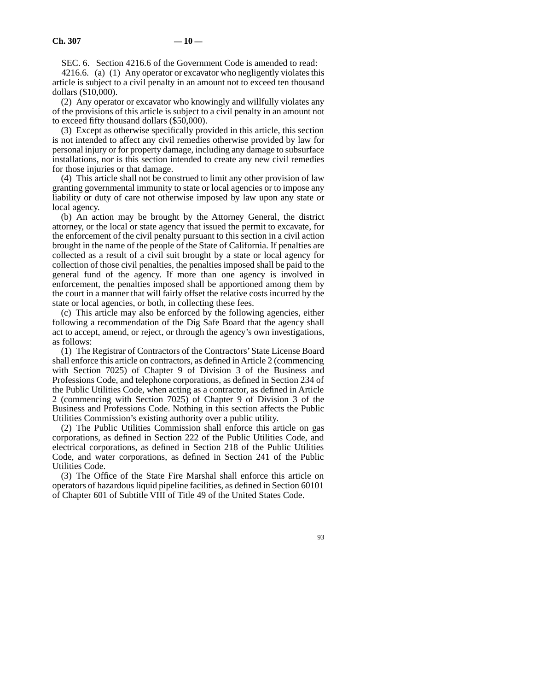SEC. 6. Section 4216.6 of the Government Code is amended to read:

4216.6. (a) (1) Any operator or excavator who negligently violates this article is subject to a civil penalty in an amount not to exceed ten thousand dollars (\$10,000).

(2) Any operator or excavator who knowingly and willfully violates any of the provisions of this article is subject to a civil penalty in an amount not to exceed fifty thousand dollars (\$50,000).

(3) Except as otherwise specifically provided in this article, this section is not intended to affect any civil remedies otherwise provided by law for personal injury or for property damage, including any damage to subsurface installations, nor is this section intended to create any new civil remedies for those injuries or that damage.

(4) This article shall not be construed to limit any other provision of law granting governmental immunity to state or local agencies or to impose any liability or duty of care not otherwise imposed by law upon any state or local agency.

(b) An action may be brought by the Attorney General, the district attorney, or the local or state agency that issued the permit to excavate, for the enforcement of the civil penalty pursuant to this section in a civil action brought in the name of the people of the State of California. If penalties are collected as a result of a civil suit brought by a state or local agency for collection of those civil penalties, the penalties imposed shall be paid to the general fund of the agency. If more than one agency is involved in enforcement, the penalties imposed shall be apportioned among them by the court in a manner that will fairly offset the relative costs incurred by the state or local agencies, or both, in collecting these fees.

(c) This article may also be enforced by the following agencies, either following a recommendation of the Dig Safe Board that the agency shall act to accept, amend, or reject, or through the agency's own investigations, as follows:

(1) The Registrar of Contractors of the Contractors' State License Board shall enforce this article on contractors, as defined in Article 2 (commencing with Section 7025) of Chapter 9 of Division 3 of the Business and Professions Code, and telephone corporations, as defined in Section 234 of the Public Utilities Code, when acting as a contractor, as defined in Article 2 (commencing with Section 7025) of Chapter 9 of Division 3 of the Business and Professions Code. Nothing in this section affects the Public Utilities Commission's existing authority over a public utility.

(2) The Public Utilities Commission shall enforce this article on gas corporations, as defined in Section 222 of the Public Utilities Code, and electrical corporations, as defined in Section 218 of the Public Utilities Code, and water corporations, as defined in Section 241 of the Public Utilities Code.

(3) The Office of the State Fire Marshal shall enforce this article on operators of hazardous liquid pipeline facilities, as defined in Section 60101 of Chapter 601 of Subtitle VIII of Title 49 of the United States Code.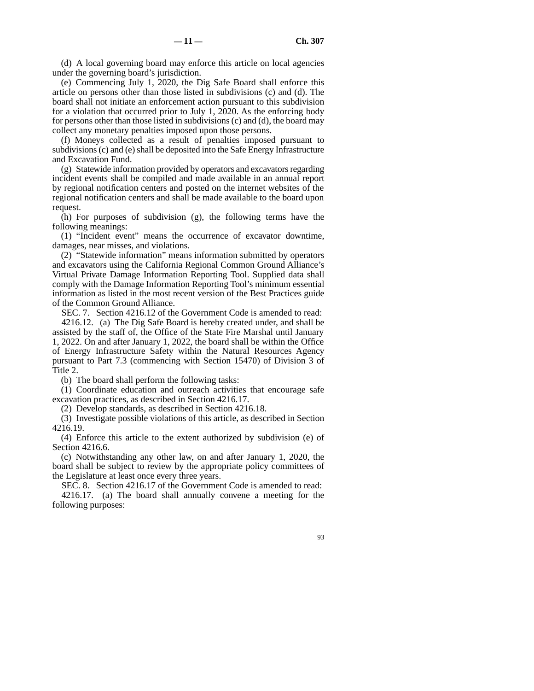(d) A local governing board may enforce this article on local agencies under the governing board's jurisdiction.

(e) Commencing July 1, 2020, the Dig Safe Board shall enforce this article on persons other than those listed in subdivisions (c) and (d). The board shall not initiate an enforcement action pursuant to this subdivision for a violation that occurred prior to July 1, 2020. As the enforcing body for persons other than those listed in subdivisions (c) and (d), the board may collect any monetary penalties imposed upon those persons.

(f) Moneys collected as a result of penalties imposed pursuant to subdivisions (c) and (e) shall be deposited into the Safe Energy Infrastructure and Excavation Fund.

(g) Statewide information provided by operators and excavators regarding incident events shall be compiled and made available in an annual report by regional notification centers and posted on the internet websites of the regional notification centers and shall be made available to the board upon request.

(h) For purposes of subdivision (g), the following terms have the following meanings:

(1) "Incident event" means the occurrence of excavator downtime, damages, near misses, and violations.

(2) "Statewide information" means information submitted by operators and excavators using the California Regional Common Ground Alliance's Virtual Private Damage Information Reporting Tool. Supplied data shall comply with the Damage Information Reporting Tool's minimum essential information as listed in the most recent version of the Best Practices guide of the Common Ground Alliance.

SEC. 7. Section 4216.12 of the Government Code is amended to read:

4216.12. (a) The Dig Safe Board is hereby created under, and shall be assisted by the staff of, the Office of the State Fire Marshal until January 1, 2022. On and after January 1, 2022, the board shall be within the Office of Energy Infrastructure Safety within the Natural Resources Agency pursuant to Part 7.3 (commencing with Section 15470) of Division 3 of Title 2.

(b) The board shall perform the following tasks:

(1) Coordinate education and outreach activities that encourage safe excavation practices, as described in Section 4216.17.

(2) Develop standards, as described in Section 4216.18.

(3) Investigate possible violations of this article, as described in Section 4216.19.

(4) Enforce this article to the extent authorized by subdivision (e) of Section 4216.6.

(c) Notwithstanding any other law, on and after January 1, 2020, the board shall be subject to review by the appropriate policy committees of the Legislature at least once every three years.

SEC. 8. Section 4216.17 of the Government Code is amended to read: 4216.17. (a) The board shall annually convene a meeting for the following purposes: